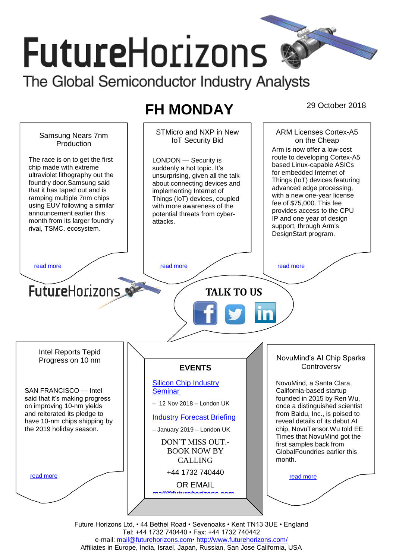# **FutureHorizons** The Global Semiconductor Industry Analysts

# **FH MONDAY** 29 October 2018



Future Horizons Ltd, • 44 Bethel Road • Sevenoaks • Kent TN13 3UE • England Tel: +44 1732 740440 • Fax: +44 1732 740442 e-mail: mail@futurehorizons.com• http://www.futurehorizons.com/ Affiliates in Europe, India, Israel, Japan, Russian, San Jose California, USA